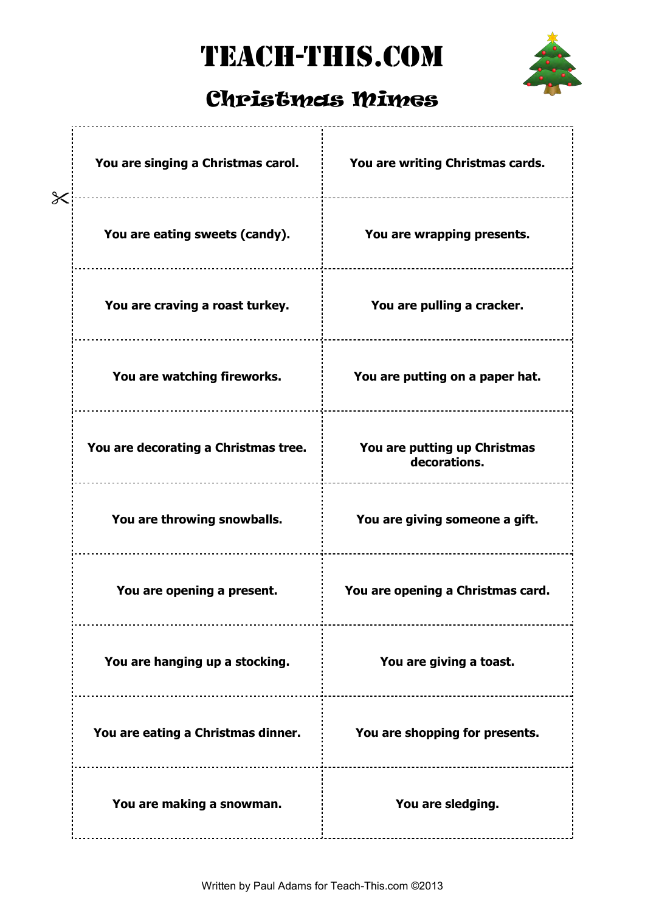## TEACH-THIS.COM



## Christmas Mimes

| You are singing a Christmas carol.   | You are writing Christmas cards.             |
|--------------------------------------|----------------------------------------------|
| You are eating sweets (candy).       | You are wrapping presents.                   |
| You are craving a roast turkey.      | You are pulling a cracker.                   |
| You are watching fireworks.          | You are putting on a paper hat.              |
| You are decorating a Christmas tree. | You are putting up Christmas<br>decorations. |
| You are throwing snowballs.          | You are giving someone a gift.               |
| You are opening a present.           | You are opening a Christmas card.            |
| You are hanging up a stocking.       | You are giving a toast.                      |
| You are eating a Christmas dinner.   | You are shopping for presents.               |
| You are making a snowman.            | You are sledging.                            |
|                                      |                                              |